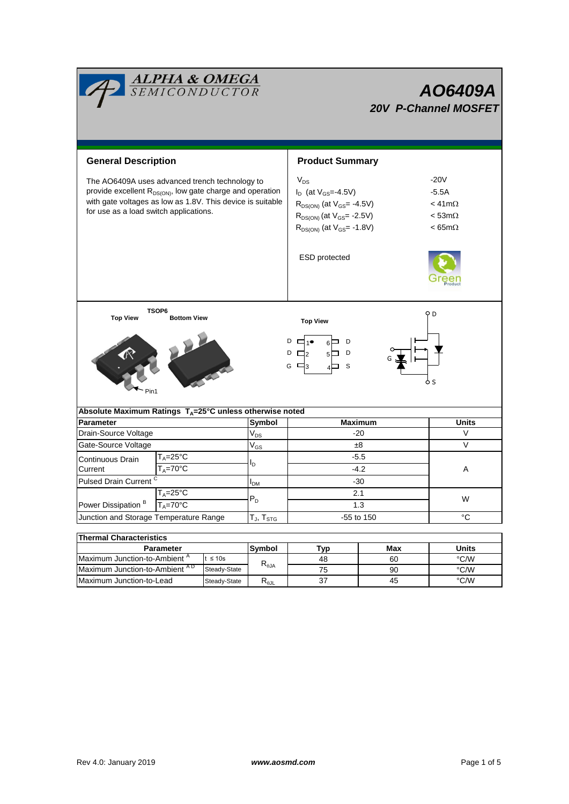|                                                                                                                                                                                                                                 | <u>ALPHA &amp; OMEGA</u><br>SEMICONDUCTOR                      |        |                                              | AO6409A<br><b>20V P-Channel MOSFET</b>                                                                                                                                     |                                                                                    |                                 |  |  |  |  |
|---------------------------------------------------------------------------------------------------------------------------------------------------------------------------------------------------------------------------------|----------------------------------------------------------------|--------|----------------------------------------------|----------------------------------------------------------------------------------------------------------------------------------------------------------------------------|------------------------------------------------------------------------------------|---------------------------------|--|--|--|--|
| <b>General Description</b>                                                                                                                                                                                                      |                                                                |        |                                              | <b>Product Summary</b>                                                                                                                                                     |                                                                                    |                                 |  |  |  |  |
| The AO6409A uses advanced trench technology to<br>provide excellent R <sub>DS(ON)</sub> , low gate charge and operation<br>with gate voltages as low as 1.8V. This device is suitable<br>for use as a load switch applications. |                                                                |        |                                              | $V_{DS}$<br>$I_D$ (at $V_{GS} = 4.5V$ )<br>$R_{DS(ON)}$ (at $V_{GS}$ = -4.5V)<br>$R_{DS(ON)}$ (at $V_{GS}$ = -2.5V)<br>$R_{DS(ON)}$ (at $V_{GS}$ = -1.8V)<br>ESD protected | $-20V$<br>$-5.5A$<br>$<$ 41m $\Omega$<br>$<$ 53m $\Omega$<br>$< 65 \text{m}\Omega$ |                                 |  |  |  |  |
| TSOP6<br>oр<br><b>Top View</b><br><b>Bottom View</b><br><b>Top View</b><br>D<br>D<br>D<br>$\Box_2$<br>D<br>G $\Box$ 3<br>S<br>ò S<br>Pin1                                                                                       |                                                                |        |                                              |                                                                                                                                                                            |                                                                                    |                                 |  |  |  |  |
| Absolute Maximum Ratings $T_A = 25^\circ \text{C}$ unless otherwise noted<br><b>Parameter</b>                                                                                                                                   |                                                                |        | <b>Maximum</b><br><b>Units</b>               |                                                                                                                                                                            |                                                                                    |                                 |  |  |  |  |
| Drain-Source Voltage                                                                                                                                                                                                            |                                                                |        | Symbol<br>$V_{DS}$                           | $-20$                                                                                                                                                                      |                                                                                    | V                               |  |  |  |  |
| Gate-Source Voltage                                                                                                                                                                                                             |                                                                |        |                                              | ±8                                                                                                                                                                         |                                                                                    | V                               |  |  |  |  |
| Continuous Drain<br>Current                                                                                                                                                                                                     | $T_A = 25^{\circ}C$<br>$T_A = 70$ °C                           |        | $\mathsf{V}_{\mathsf{GS}}$<br>l <sub>D</sub> | $-5.5$<br>$-4.2$                                                                                                                                                           |                                                                                    | Α                               |  |  |  |  |
| <b>Pulsed Drain Current</b>                                                                                                                                                                                                     |                                                                |        | <b>I</b> <sub>DM</sub>                       | $-30$                                                                                                                                                                      |                                                                                    |                                 |  |  |  |  |
| $T_A = 25^\circ \overline{C}$<br>Power Dissipation <sup>B</sup><br>$T_A = 70^{\circ}$ C                                                                                                                                         |                                                                |        | $\mathsf{P}_\mathsf{D}$                      | 2.1<br>1.3                                                                                                                                                                 |                                                                                    | W                               |  |  |  |  |
| Junction and Storage Temperature Range                                                                                                                                                                                          |                                                                |        | $T_{J}$ , $T_{STG}$                          | -55 to 150                                                                                                                                                                 |                                                                                    | °C                              |  |  |  |  |
|                                                                                                                                                                                                                                 |                                                                |        |                                              |                                                                                                                                                                            |                                                                                    |                                 |  |  |  |  |
| <b>Thermal Characteristics</b>                                                                                                                                                                                                  |                                                                |        |                                              |                                                                                                                                                                            |                                                                                    |                                 |  |  |  |  |
| Parameter<br>Maximum Junction-to-Ambient <sup>A</sup>                                                                                                                                                                           |                                                                | Symbol | Typ                                          | Max                                                                                                                                                                        | <b>Units</b>                                                                       |                                 |  |  |  |  |
|                                                                                                                                                                                                                                 | $t \leq 10s$<br>Maximum Junction-to-Ambient AD<br>Steady-State |        | $\mathsf{R}_{\theta\mathsf{JA}}$             | 48<br>75                                                                                                                                                                   | 60<br>90                                                                           | $^{\circ}$ C/W<br>$\degree$ C/W |  |  |  |  |

Steady-State  $R_{\theta$ JL

Maximum Junction-to-Lead Steady-State R<sub>eJL</sub> 37 45 °C/W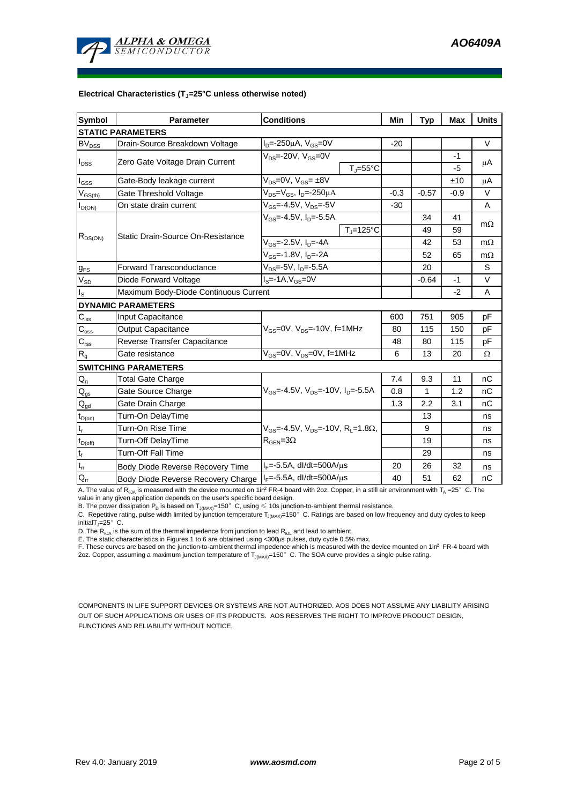

#### **Electrical Characteristics (TJ=25°C unless otherwise noted)**

| Symbol                                 | <b>Conditions</b><br><b>Parameter</b>                             |                                                                 | Min     | <b>Typ</b> | <b>Max</b> | <b>Units</b> |  |  |  |  |  |
|----------------------------------------|-------------------------------------------------------------------|-----------------------------------------------------------------|---------|------------|------------|--------------|--|--|--|--|--|
| <b>STATIC PARAMETERS</b>               |                                                                   |                                                                 |         |            |            |              |  |  |  |  |  |
| BV <sub>DSS</sub>                      | Drain-Source Breakdown Voltage                                    | $I_{D} = -250 \mu A$ , $V_{GS} = 0V$                            | $-20$   |            |            | $\vee$       |  |  |  |  |  |
| $I_{DSS}$                              | Zero Gate Voltage Drain Current                                   | $V_{DS}$ =-20V, $V_{GS}$ =0V<br>$T_i = 55^{\circ}C$             |         |            | -1<br>$-5$ | μA           |  |  |  |  |  |
| $I_{GSS}$                              | Gate-Body leakage current                                         | $V_{DS} = 0V$ , $V_{GS} = \pm 8V$                               |         |            | ±10        | μA           |  |  |  |  |  |
| $V_{GS(th)}$                           | Gate Threshold Voltage                                            | $V_{DS} = V_{GS}$ , $I_{D} = -250 \mu A$                        | $-0.3$  | $-0.57$    | $-0.9$     | $\vee$       |  |  |  |  |  |
| $I_{D(ON)}$                            | On state drain current                                            | $V_{GS} = -4.5V$ , $V_{DS} = -5V$                               | -30     |            |            | A            |  |  |  |  |  |
| $R_{DS(ON)}$                           |                                                                   | $V_{GS}$ =-4.5V, I <sub>D</sub> =-5.5A                          |         | 34         | 41         |              |  |  |  |  |  |
|                                        |                                                                   | $T_i = 125$ °C                                                  |         | 49         | 59         | $m\Omega$    |  |  |  |  |  |
|                                        | Static Drain-Source On-Resistance                                 | V <sub>GS</sub> =-2.5V, I <sub>D</sub> =-4A                     |         | 42         | 53         | $m\Omega$    |  |  |  |  |  |
|                                        |                                                                   | $\overline{V_{GS}}$ =-1.8V, I <sub>D</sub> =-2A                 |         | 52         | 65         | $m\Omega$    |  |  |  |  |  |
| <b>g<sub>FS</sub></b>                  | $V_{DS} = -5V$ , $I_D = -5.5A$<br><b>Forward Transconductance</b> |                                                                 |         | 20         |            | S            |  |  |  |  |  |
| $V_{SD}$                               | Diode Forward Voltage                                             |                                                                 | $-0.64$ | $-1$       | $\vee$     |              |  |  |  |  |  |
| $I_{\rm S}$                            | Maximum Body-Diode Continuous Current                             |                                                                 |         | $-2$       | A          |              |  |  |  |  |  |
|                                        | <b>DYNAMIC PARAMETERS</b>                                         |                                                                 |         |            |            |              |  |  |  |  |  |
| $\mathsf{C}_{\mathsf{iss}}$            | Input Capacitance                                                 |                                                                 | 600     | 751        | 905        | pF           |  |  |  |  |  |
| $C_{\text{oss}}$                       | <b>Output Capacitance</b>                                         | $V_{GS}$ =0V, $V_{DS}$ =-10V, f=1MHz                            | 80      | 115        | 150        | рF           |  |  |  |  |  |
| $C_{\rm rss}$                          | Reverse Transfer Capacitance                                      |                                                                 | 48      | 80         | 115        | рF           |  |  |  |  |  |
| $R_{g}$                                | Gate resistance                                                   | $V_{\text{GS}} = 0V$ , $V_{\text{DS}} = 0V$ , f=1MHz            | 6       | 13         | 20         | Ω            |  |  |  |  |  |
|                                        | <b>SWITCHING PARAMETERS</b>                                       |                                                                 |         |            |            |              |  |  |  |  |  |
| $Q_g$                                  | <b>Total Gate Charge</b>                                          |                                                                 | 7.4     | 9.3        | 11         | nC           |  |  |  |  |  |
| $Q_{qs}$                               | Gate Source Charge                                                | $V_{GS}$ =-4.5V, $V_{DS}$ =-10V, $I_{D}$ =-5.5A                 | 0.8     | 1          | 1.2        | nC           |  |  |  |  |  |
| $\mathsf{Q}_{\underline{\mathsf{gd}}}$ | Gate Drain Charge                                                 |                                                                 | 1.3     | 2.2        | 3.1        | пC           |  |  |  |  |  |
| $t_{D(on)}$                            | Turn-On DelayTime                                                 |                                                                 |         | 13         |            | ns           |  |  |  |  |  |
| $t_r$                                  | Turn-On Rise Time                                                 | $V_{GS}$ =-4.5V, $V_{DS}$ =-10V, R <sub>1</sub> =1.8 $\Omega$ , |         | 9          |            | ns           |  |  |  |  |  |
| $t_{D(off)}$                           | $R_{\text{GEN}} = 3\Omega$<br>Turn-Off DelayTime                  |                                                                 |         | 19         |            | ns           |  |  |  |  |  |
| $t_f$                                  | <b>Turn-Off Fall Time</b>                                         |                                                                 |         | 29         |            | ns           |  |  |  |  |  |
| $t_{rr}$                               | Body Diode Reverse Recovery Time                                  | $I_F = -5.5A$ , dl/dt=500A/ $\mu$ s                             | 20      | 26         | 32         | ns           |  |  |  |  |  |
| Ğ.                                     | Body Diode Reverse Recovery Charge                                | $I_F$ =-5.5A, dl/dt=500A/ $\mu$ s                               | 40      | 51         | 62         | nC           |  |  |  |  |  |

A. The value of R<sub>NA</sub> is measured with the device mounted on 1in<sup>2</sup> FR-4 board with 2oz. Copper, in a still air environment with  $T_A = 25^\circ$  C. The value in any given application depends on the user's specific board design.

B. The power dissipation  ${\sf P}_{\sf D}$  is based on  ${\sf T}_{\sf J(MAX)}$ =150 $^\circ\,$  C, using  $\leqslant$  10s junction-to-ambient thermal resistance.

C. Repetitive rating, pulse width limited by junction temperature  $T_{J(MAX)}$ =150°C. Ratings are based on low frequency and duty cycles to keep initialT $_{\parallel}$ =25° C.

D. The  $R_{q,1A}$  is the sum of the thermal impedence from junction to lead  $R_{q,1I}$  and lead to ambient.

E. The static characteristics in Figures 1 to 6 are obtained using <300us pulses, duty cycle 0.5% max.

F. These curves are based on the junction-to-ambient thermal impedence which is measured with the device mounted on 1in<sup>2</sup> FR-4 board with 2oz. Copper, assuming a maximum junction temperature of  $T_{J(MAX)}=150^\circ$  C. The SOA curve provides a single pulse rating.

COMPONENTS IN LIFE SUPPORT DEVICES OR SYSTEMS ARE NOT AUTHORIZED. AOS DOES NOT ASSUME ANY LIABILITY ARISING OUT OF SUCH APPLICATIONS OR USES OF ITS PRODUCTS. AOS RESERVES THE RIGHT TO IMPROVE PRODUCT DESIGN, FUNCTIONS AND RELIABILITY WITHOUT NOTICE.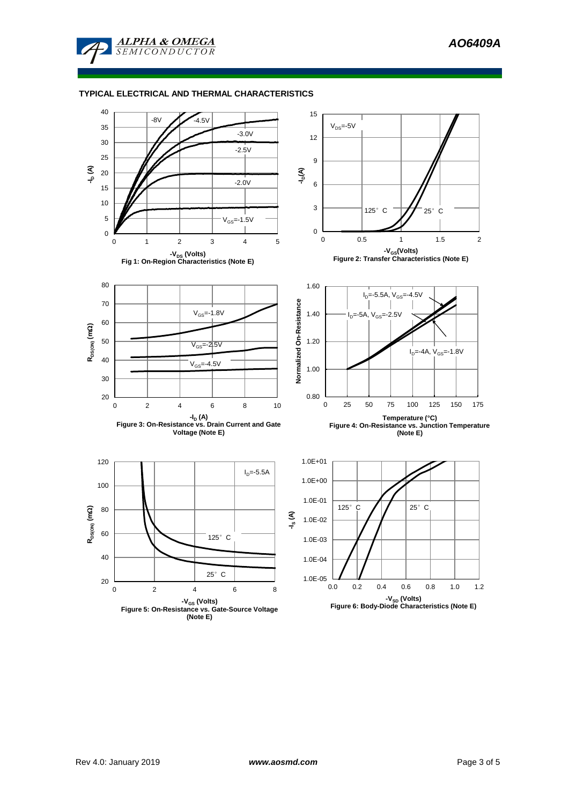

### **TYPICAL ELECTRICAL AND THERMAL CHARACTERISTICS**

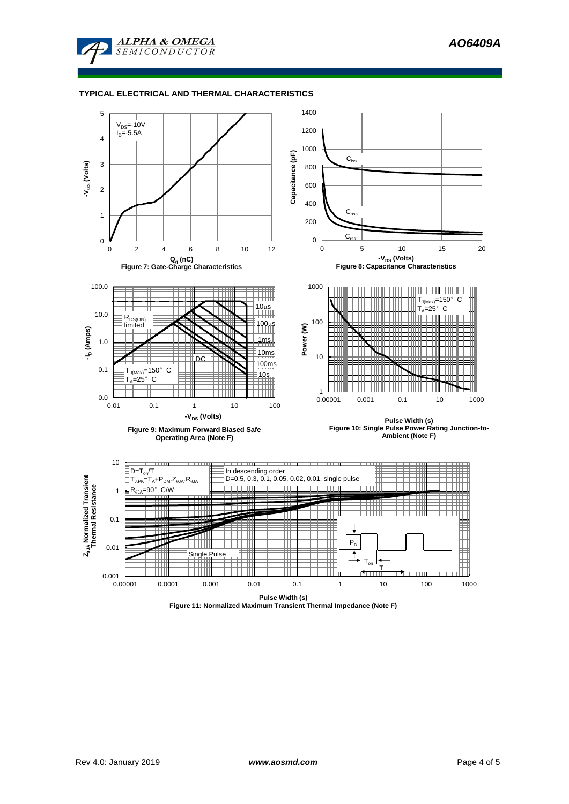

### **TYPICAL ELECTRICAL AND THERMAL CHARACTERISTICS**